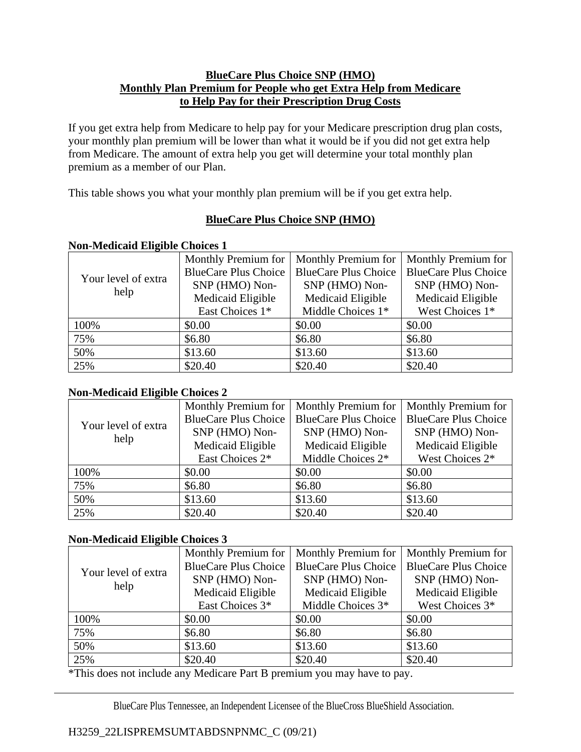## **BlueCare Plus Choice SNP (HMO) Monthly Plan Premium for People who get Extra Help from Medicare to Help Pay for their Prescription Drug Costs**

If you get extra help from Medicare to help pay for your Medicare prescription drug plan costs, your monthly plan premium will be lower than what it would be if you did not get extra help from Medicare. The amount of extra help you get will determine your total monthly plan premium as a member of our Plan.

This table shows you what your monthly plan premium will be if you get extra help.

# **BlueCare Plus Choice SNP (HMO)**

## **Non-Medicaid Eligible Choices 1**

| Your level of extra<br>help | Monthly Premium for         | Monthly Premium for         | Monthly Premium for         |
|-----------------------------|-----------------------------|-----------------------------|-----------------------------|
|                             | <b>BlueCare Plus Choice</b> | <b>BlueCare Plus Choice</b> | <b>BlueCare Plus Choice</b> |
|                             | SNP (HMO) Non-              | SNP (HMO) Non-              | SNP (HMO) Non-              |
|                             | Medicaid Eligible           | Medicaid Eligible           | Medicaid Eligible           |
|                             | East Choices 1*             | Middle Choices 1*           | West Choices 1*             |
| 100%                        | \$0.00                      | \$0.00                      | \$0.00                      |
| 75%                         | \$6.80                      | \$6.80                      | \$6.80                      |
| 50%                         | \$13.60                     | \$13.60                     | \$13.60                     |
| 25%                         | \$20.40                     | \$20.40                     | \$20.40                     |

## **Non-Medicaid Eligible Choices 2**

| Your level of extra<br>help | Monthly Premium for         | Monthly Premium for         | <b>Monthly Premium for</b>  |
|-----------------------------|-----------------------------|-----------------------------|-----------------------------|
|                             | <b>BlueCare Plus Choice</b> | <b>BlueCare Plus Choice</b> | <b>BlueCare Plus Choice</b> |
|                             | SNP (HMO) Non-              | SNP (HMO) Non-              | SNP (HMO) Non-              |
|                             | Medicaid Eligible           | Medicaid Eligible           | Medicaid Eligible           |
|                             | East Choices 2*             | Middle Choices 2*           | West Choices 2*             |
| 100%                        | \$0.00                      | \$0.00                      | \$0.00                      |
| 75%                         | \$6.80                      | \$6.80                      | \$6.80                      |
| 50%                         | \$13.60                     | \$13.60                     | \$13.60                     |
| 25%                         | \$20.40                     | \$20.40                     | \$20.40                     |

## **Non-Medicaid Eligible Choices 3**

| Your level of extra<br>help | Monthly Premium for         | Monthly Premium for         | Monthly Premium for         |
|-----------------------------|-----------------------------|-----------------------------|-----------------------------|
|                             | <b>BlueCare Plus Choice</b> | <b>BlueCare Plus Choice</b> | <b>BlueCare Plus Choice</b> |
|                             | SNP (HMO) Non-              | SNP (HMO) Non-              | SNP (HMO) Non-              |
|                             | Medicaid Eligible           | Medicaid Eligible           | Medicaid Eligible           |
|                             | East Choices 3*             | Middle Choices 3*           | West Choices 3*             |
| 100%                        | \$0.00                      | \$0.00                      | \$0.00                      |
| 75%                         | \$6.80                      | \$6.80                      | \$6.80                      |
| 50%                         | \$13.60                     | \$13.60                     | \$13.60                     |
| 25%                         | \$20.40                     | \$20.40                     | \$20.40                     |

\*This does not include any Medicare Part B premium you may have to pay.

BlueCare Plus Tennessee, an Independent Licensee of the BlueCross BlueShield Association.